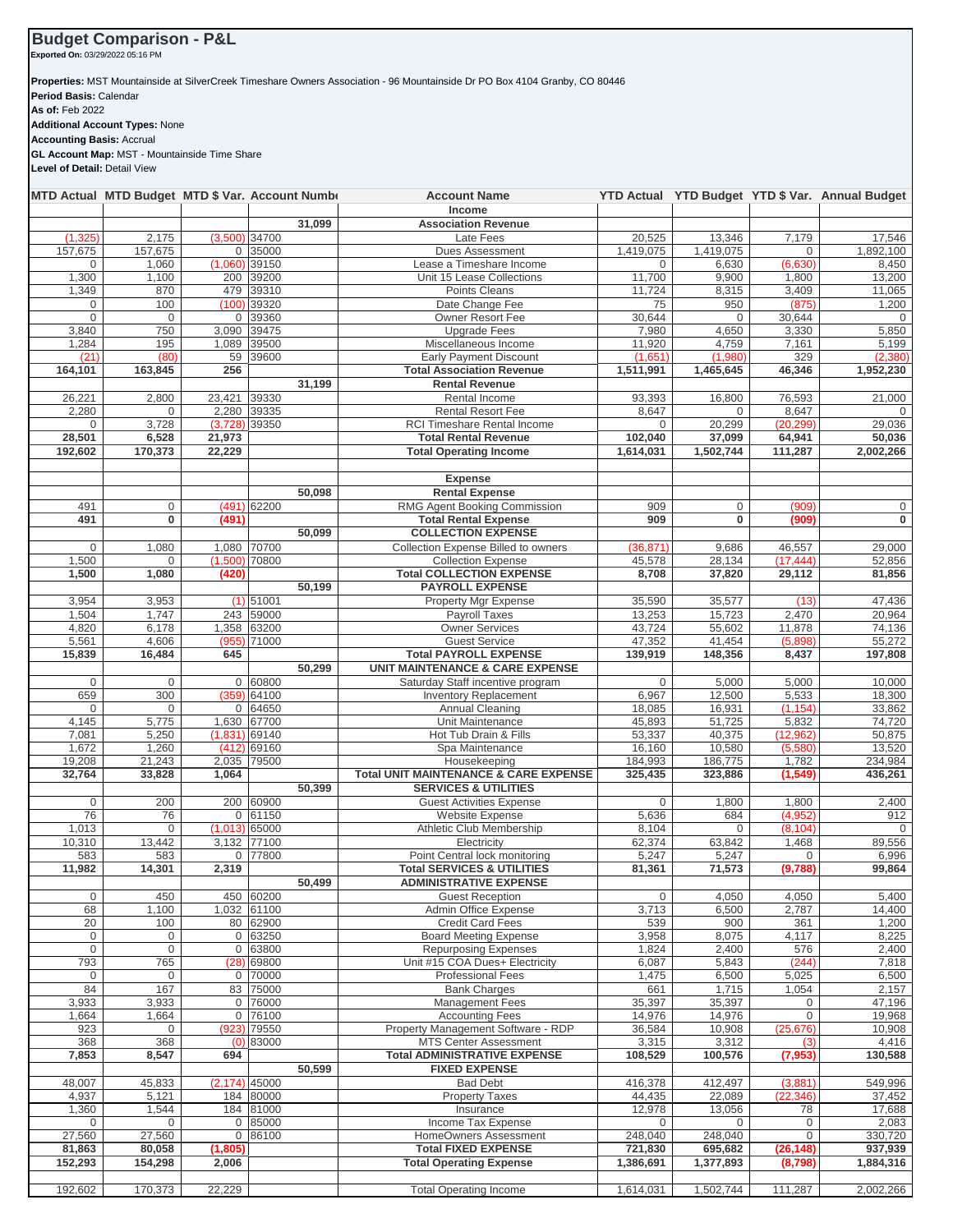## **Budget Comparison - P&L**

**Exported On:** 03/29/2022 05:16 PM

**Properties:** MST Mountainside at SilverCreek Timeshare Owners Association - 96 Mountainside Dr PO Box 4104 Granby, CO 80446 **Period Basis:** Calendar **As of:** Feb 2022

**Additional Account Types:** None **Accounting Basis:** Accrual **GL Account Map:** MST - Mountainside Time Share

**Level of Detail: Detail View** 

|                     | MTD Actual MTD Budget MTD \$ Var. Account Numbe |                          |                      |        | <b>Account Name</b>                                                |                     |                     |                      | YTD Actual YTD Budget YTD \$ Var. Annual Budget |
|---------------------|-------------------------------------------------|--------------------------|----------------------|--------|--------------------------------------------------------------------|---------------------|---------------------|----------------------|-------------------------------------------------|
|                     |                                                 |                          |                      |        | Income                                                             |                     |                     |                      |                                                 |
|                     |                                                 |                          |                      | 31,099 | <b>Association Revenue</b>                                         |                     |                     |                      |                                                 |
| (1, 325)<br>157,675 | 2,175<br>157,675                                | $(3,500)$ 34700          | 0 35000              |        | Late Fees<br>Dues Assessment                                       | 20,525<br>1,419,075 | 13,346<br>1,419,075 | 7,179<br>$\mathbf 0$ | 17,546<br>1,892,100                             |
| $\mathbf 0$         | 1,060                                           | (1,060)                  | 39150                |        | Lease a Timeshare Income                                           | $\mathbf 0$         | 6,630               | (6,630)              | 8,450                                           |
| 1,300               | 1,100                                           |                          | 200 39200            |        | Unit 15 Lease Collections                                          | 11,700              | 9,900               | 1,800                | 13,200                                          |
| 1,349               | 870                                             | 479                      | 39310                |        | Points Cleans                                                      | 11,724              | 8,315               | 3,409                | 11,065                                          |
| 0                   | 100                                             |                          | $(100)$ 39320        |        | Date Change Fee                                                    | 75                  | 950                 | (875)                | 1,200                                           |
| $\overline{0}$      | 0                                               |                          | 0 39360              |        | Owner Resort Fee                                                   | 30,644              | 0                   | 30,644               | 0                                               |
| 3,840               | 750                                             | 3,090                    | 39475                |        | <b>Upgrade Fees</b>                                                | 7,980               | 4,650               | 3,330                | 5,850                                           |
| 1,284               | 195                                             | 1,089                    | 39500                |        | Miscellaneous Income                                               | 11,920              | 4,759               | 7,161                | 5,199                                           |
| (21)                | (80)                                            | 59                       | 39600                |        | <b>Early Payment Discount</b>                                      | (1,651)             | (1,980)             | 329<br>46,346        | (2,380)                                         |
| 164,101             | 163,845                                         | 256                      |                      | 31,199 | <b>Total Association Revenue</b><br><b>Rental Revenue</b>          | 1,511,991           | 1,465,645           |                      | 1,952,230                                       |
| 26,221              | 2,800                                           | 23,421                   | 39330                |        | Rental Income                                                      | 93,393              | 16,800              | 76,593               | 21,000                                          |
| 2,280               | $\mathbf 0$                                     |                          | 2,280 39335          |        | <b>Rental Resort Fee</b>                                           | 8,647               | 0                   | 8,647                | 0                                               |
| 0                   | 3,728                                           | (3,728)                  | 39350                |        | RCI Timeshare Rental Income                                        | $\mathbf 0$         | 20,299              | (20, 299)            | 29,036                                          |
| 28,501              | 6,528                                           | 21,973                   |                      |        | <b>Total Rental Revenue</b>                                        | 102,040             | 37,099              | 64,941               | 50,036                                          |
| 192,602             | 170,373                                         | 22,229                   |                      |        | <b>Total Operating Income</b>                                      | 1,614,031           | 1,502,744           | 111,287              | 2,002,266                                       |
|                     |                                                 |                          |                      |        |                                                                    |                     |                     |                      |                                                 |
|                     |                                                 |                          |                      |        | <b>Expense</b>                                                     |                     |                     |                      |                                                 |
|                     |                                                 |                          |                      | 50,098 | <b>Rental Expense</b>                                              |                     |                     |                      |                                                 |
| 491                 | 0                                               |                          | $(491)$ 62200        |        | RMG Agent Booking Commission                                       | 909                 | $\mathbf 0$         | (909)                | $\mathsf{O}\xspace$                             |
| 491                 | 0                                               | (491)                    |                      |        | <b>Total Rental Expense</b>                                        | 909                 | 0                   | (909)                | 0                                               |
|                     |                                                 |                          |                      | 50,099 | <b>COLLECTION EXPENSE</b>                                          |                     |                     |                      |                                                 |
| $\mathbf 0$         | 1,080                                           |                          | 1,080 70700          |        | Collection Expense Billed to owners                                | (36, 871)           | 9,686               | 46,557               | 29,000                                          |
| 1,500               | 0<br>1,080                                      |                          | $(1,500)$ 70800      |        | <b>Collection Expense</b><br><b>Total COLLECTION EXPENSE</b>       | 45,578              | 28,134<br>37,820    | (17, 444)            | 52,856                                          |
| 1,500               |                                                 | (420)                    |                      | 50,199 | <b>PAYROLL EXPENSE</b>                                             | 8,708               |                     | 29,112               | 81,856                                          |
| 3,954               | 3,953                                           |                          | $(1)$ 51001          |        | Property Mgr Expense                                               | 35,590              | 35,577              | (13)                 | 47,436                                          |
| 1,504               | 1,747                                           |                          | 243 59000            |        | <b>Payroll Taxes</b>                                               | 13,253              | 15,723              | 2,470                | 20,964                                          |
| 4,820               | 6,178                                           |                          | 1,358 63200          |        | <b>Owner Services</b>                                              | 43.724              | 55,602              | 11,878               | 74.136                                          |
| 5,561               | 4,606                                           | (955)                    | 71000                |        | <b>Guest Service</b>                                               | 47,352              | 41,454              | (5,898)              | 55,272                                          |
| 15,839              | 16,484                                          | 645                      |                      |        | <b>Total PAYROLL EXPENSE</b>                                       | 139,919             | 148,356             | 8,437                | 197,808                                         |
|                     |                                                 |                          |                      | 50,299 | <b>UNIT MAINTENANCE &amp; CARE EXPENSE</b>                         |                     |                     |                      |                                                 |
| $\mathbf 0$         | 0                                               |                          | 0   60800            |        | Saturday Staff incentive program                                   | $\mathbf 0$         | 5,000               | 5,000                | 10,000                                          |
| 659                 | 300                                             |                          | $(359)$ 64100        |        | <b>Inventory Replacement</b>                                       | 6,967               | 12,500              | 5,533                | 18,300                                          |
| $\mathbf 0$         | 0                                               |                          | 0 64650              |        | <b>Annual Cleaning</b>                                             | 18,085              | 16,931              | (1, 154)             | 33,862                                          |
| 4,145               | 5,775                                           |                          | 1,630 67700          |        | Unit Maintenance                                                   | 45,893              | 51,725              | 5,832                | 74,720                                          |
| 7,081<br>1,672      | 5,250<br>1,260                                  | $(1,831)$ 69140<br>(412) | 69160                |        | Hot Tub Drain & Fills<br>Spa Maintenance                           | 53,337<br>16,160    | 40,375<br>10,580    | (12, 962)<br>(5,580) | 50,875<br>13,520                                |
| 19,208              | 21,243                                          |                          | 2,035 79500          |        | Housekeeping                                                       | 184,993             | 186,775             | 1,782                | 234,984                                         |
| 32,764              | 33,828                                          | 1,064                    |                      |        | <b>Total UNIT MAINTENANCE &amp; CARE EXPENSE</b>                   | 325,435             | 323,886             | (1, 549)             | 436,261                                         |
|                     |                                                 |                          |                      | 50,399 | <b>SERVICES &amp; UTILITIES</b>                                    |                     |                     |                      |                                                 |
| $\boldsymbol{0}$    | 200                                             |                          | 200 60900            |        | <b>Guest Activities Expense</b>                                    | $\mathbf 0$         | 1,800               | 1,800                | 2,400                                           |
| 76                  | 76                                              | 0                        | 61150                |        | <b>Website Expense</b>                                             | 5,636               | 684                 | (4,952)              | 912                                             |
| 1,013               | $\mathbf 0$                                     | (1,013)                  | 65000                |        | Athletic Club Membership                                           | 8,104               | $\mathbf 0$         | (8, 104)             | $\mathbf{0}$                                    |
| 10,310              | 13,442                                          | 3,132                    | 77100                |        | Electricity                                                        | 62,374              | 63,842              | 1,468                | 89,556                                          |
| 583                 | 583                                             |                          | 0 77800              |        | Point Central lock monitoring                                      | 5,247               | 5,247               | 0                    | 6,996                                           |
| 11,982              | 14,301                                          | 2,319                    |                      |        | <b>Total SERVICES &amp; UTILITIES</b>                              | 81,361              | 71,573              | (9,788)              | 99,864                                          |
| $\mathbf 0$         | 450                                             |                          | 450 60200            | 50,499 | <b>ADMINISTRATIVE EXPENSE</b>                                      | 0                   | 4,050               | 4,050                | 5,400                                           |
| 68                  | 1,100                                           |                          | 1,032 61100          |        | <b>Guest Reception</b><br>Admin Office Expense                     | 3,713               | 6,500               | 2,787                | 14,400                                          |
| 20                  | 100                                             |                          | 80 62900             |        | <b>Credit Card Fees</b>                                            | 539                 | 900                 | 361                  | 1,200                                           |
| $\mathbf 0$         | 0                                               |                          | 0 63250              |        | <b>Board Meeting Expense</b>                                       | 3,958               | 8,075               | 4,117                | 8,225                                           |
| $\mathbf 0$         | $\overline{0}$                                  |                          | 0 63800              |        | <b>Repurposing Expenses</b>                                        | 1,824               | 2,400               | 576                  | 2,400                                           |
| 793                 | 765                                             |                          | $(28)$ 69800         |        | Unit #15 COA Dues+ Electricity                                     | 6,087               | 5,843               | (244)                | 7,818                                           |
| $\mathbf 0$         | 0                                               |                          | 0 70000              |        | <b>Professional Fees</b>                                           | 1,475               | 6,500               | 5,025                | 6,500                                           |
| 84                  | 167                                             |                          | 83 75000             |        | <b>Bank Charges</b>                                                | 661                 | 1,715               | 1,054                | 2,157                                           |
| 3,933               | 3,933                                           |                          | 0 76000              |        | <b>Management Fees</b>                                             | 35,397              | 35,397              | 0                    | 47,196                                          |
| 1,664               | 1,664                                           |                          | 0 76100              |        | <b>Accounting Fees</b>                                             | 14,976              | 14,976              | $\mathbf 0$          | 19,968                                          |
| 923                 | 0<br>368                                        | (923)                    | 79550<br>$(0)$ 83000 |        | Property Management Software - RDP<br><b>MTS Center Assessment</b> | 36,584              | 10,908              | (25, 676)            | 10,908                                          |
| 368<br>7,853        | 8,547                                           | 694                      |                      |        | <b>Total ADMINISTRATIVE EXPENSE</b>                                | 3,315<br>108,529    | 3,312<br>100,576    | (3)<br>(7, 953)      | 4,416<br>130,588                                |
|                     |                                                 |                          |                      | 50,599 | <b>FIXED EXPENSE</b>                                               |                     |                     |                      |                                                 |
| 48,007              | 45,833                                          | $(2, 174)$ 45000         |                      |        | <b>Bad Debt</b>                                                    | 416,378             | 412,497             | (3,881)              | 549,996                                         |
| 4,937               | 5,121                                           |                          | 184 80000            |        | <b>Property Taxes</b>                                              | 44,435              | 22,089              | (22, 346)            | 37,452                                          |
| 1,360               | 1,544                                           |                          | 184 81000            |        | Insurance                                                          | 12,978              | 13,056              | 78                   | 17,688                                          |
| $\mathbf{0}$        | $\mathbf 0$                                     |                          | 0 85000              |        | Income Tax Expense                                                 | $\mathbf 0$         | $\Omega$            | $\mathbf 0$          | 2,083                                           |
| 27,560              | 27,560                                          | $\mathbf 0$              | 86100                |        | HomeOwners Assessment                                              | 248,040             | 248,040             | $\mathbf 0$          | 330,720                                         |
| 81,863              | 80,058                                          | (1,805)                  |                      |        | <b>Total FIXED EXPENSE</b>                                         | 721,830             | 695,682             | (26, 148)            | 937,939                                         |
| 152,293             | 154,298                                         | 2,006                    |                      |        | <b>Total Operating Expense</b>                                     | 1,386,691           | 1,377,893           | (8,798)              | 1,884,316                                       |
|                     |                                                 |                          |                      |        |                                                                    |                     |                     |                      |                                                 |
| 192,602             | 170,373                                         | 22,229                   |                      |        | <b>Total Operating Income</b>                                      | 1,614,031           | 1,502,744           | 111,287              | 2,002,266                                       |